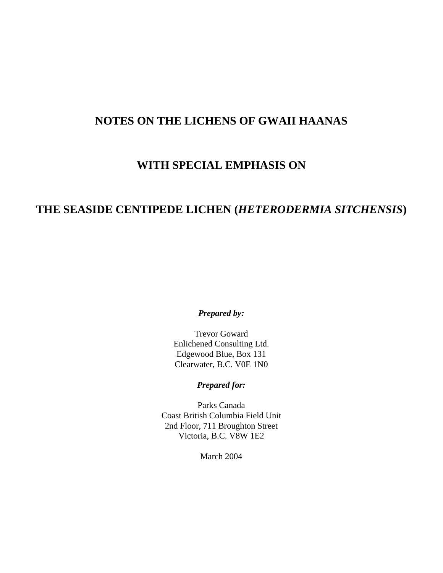# **NOTES ON THE LICHENS OF GWAII HAANAS**

# **WITH SPECIAL EMPHASIS ON**

# **THE SEASIDE CENTIPEDE LICHEN (***HETERODERMIA SITCHENSIS***)**

*Prepared by:*

Trevor Goward Enlichened Consulting Ltd. Edgewood Blue, Box 131 Clearwater, B.C. V0E 1N0

*Prepared for:*

Parks Canada Coast British Columbia Field Unit 2nd Floor, 711 Broughton Street Victoria, B.C. V8W 1E2

March 2004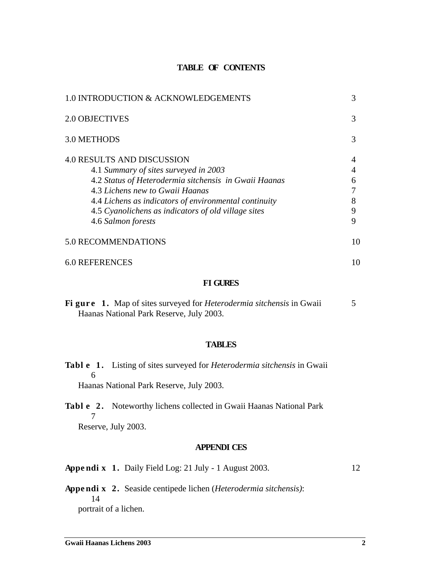#### **TABLE OF CONTENTS**

| 1.0 INTRODUCTION & ACKNOWLEDGEMENTS                                                                                                                                                                                                                                                                          | 3                |
|--------------------------------------------------------------------------------------------------------------------------------------------------------------------------------------------------------------------------------------------------------------------------------------------------------------|------------------|
| 2.0 OBJECTIVES                                                                                                                                                                                                                                                                                               | 3                |
| 3.0 METHODS                                                                                                                                                                                                                                                                                                  |                  |
| <b>4.0 RESULTS AND DISCUSSION</b><br>4.1 Summary of sites surveyed in 2003<br>4.2 Status of Heterodermia sitchensis in Gwaii Haanas<br>4.3 Lichens new to Gwaii Haanas<br>4.4 Lichens as indicators of environmental continuity<br>4.5 Cyanolichens as indicators of old village sites<br>4.6 Salmon forests | 6<br>8<br>9<br>9 |
| 5.0 RECOMMENDATIONS                                                                                                                                                                                                                                                                                          | 10               |
| <b>6.0 REFERENCES</b>                                                                                                                                                                                                                                                                                        | 10               |

#### **FI GURES**

|  | Figure 1. Map of sites surveyed for <i>Heterodermia sitchensis</i> in Gwaii |  |
|--|-----------------------------------------------------------------------------|--|
|  | Haanas National Park Reserve, July 2003.                                    |  |

#### **TABLES**

| <b>Tabl e</b> 1. Listing of sites surveyed for <i>Heterodermia sitchensis</i> in Gwaii |
|----------------------------------------------------------------------------------------|
|                                                                                        |
| Haanas National Park Reserve, July 2003.                                               |

**Tabl e 2 .** Noteworthy lichens collected in Gwaii Haanas National Park 7 Reserve, July 2003.

#### **APPENDI CES**

**Appe ndi x 1.** Daily Field Log: 21 July - 1 August 2003. 12

**Appe ndi x 2.** Seaside centipede lichen (*Heterodermia sitchensis)*: 14 portrait of a lichen.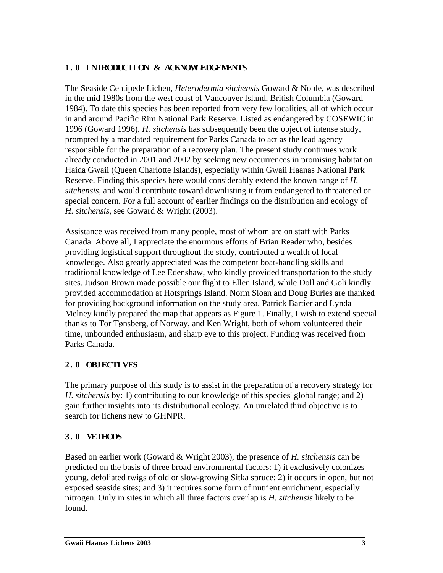### **1. 0 I NTRODUCTI ON & ACKNOWLEDGEMENTS**

The Seaside Centipede Lichen, *Heterodermia sitchensis* Goward & Noble, was described in the mid 1980s from the west coast of Vancouver Island, British Columbia (Goward 1984). To date this species has been reported from very few localities, all of which occur in and around Pacific Rim National Park Reserve. Listed as endangered by COSEWIC in 1996 (Goward 1996), *H. sitchensis* has subsequently been the object of intense study, prompted by a mandated requirement for Parks Canada to act as the lead agency responsible for the preparation of a recovery plan. The present study continues work already conducted in 2001 and 2002 by seeking new occurrences in promising habitat on Haida Gwaii (Queen Charlotte Islands), especially within Gwaii Haanas National Park Reserve. Finding this species here would considerably extend the known range of *H. sitchensis*, and would contribute toward downlisting it from endangered to threatened or special concern. For a full account of earlier findings on the distribution and ecology of *H. sitchensis*, see Goward & Wright (2003).

Assistance was received from many people, most of whom are on staff with Parks Canada. Above all, I appreciate the enormous efforts of Brian Reader who, besides providing logistical support throughout the study, contributed a wealth of local knowledge. Also greatly appreciated was the competent boat-handling skills and traditional knowledge of Lee Edenshaw, who kindly provided transportation to the study sites. Judson Brown made possible our flight to Ellen Island, while Doll and Goli kindly provided accommodation at Hotsprings Island. Norm Sloan and Doug Burles are thanked for providing background information on the study area. Patrick Bartier and Lynda Melney kindly prepared the map that appears as Figure 1. Finally, I wish to extend special thanks to Tor Tønsberg, of Norway, and Ken Wright, both of whom volunteered their time, unbounded enthusiasm, and sharp eye to this project. Funding was received from Parks Canada.

### **2. 0 OBJECTI VES**

The primary purpose of this study is to assist in the preparation of a recovery strategy for *H. sitchensis* by: 1) contributing to our knowledge of this species' global range; and 2) gain further insights into its distributional ecology. An unrelated third objective is to search for lichens new to GHNPR.

## **3. 0 METHODS**

Based on earlier work (Goward & Wright 2003), the presence of *H. sitchensis* can be predicted on the basis of three broad environmental factors: 1) it exclusively colonizes young, defoliated twigs of old or slow-growing Sitka spruce; 2) it occurs in open, but not exposed seaside sites; and 3) it requires some form of nutrient enrichment, especially nitrogen. Only in sites in which all three factors overlap is *H. sitchensis* likely to be found.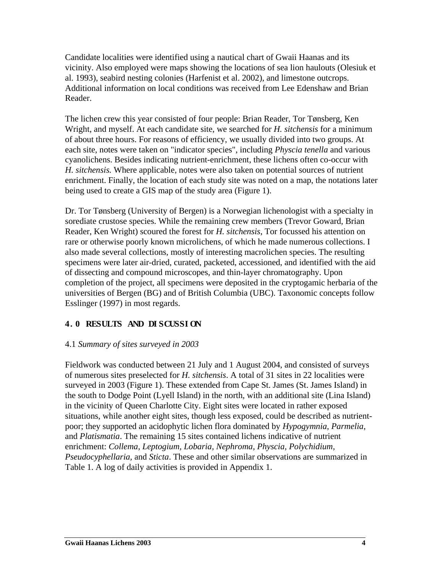Candidate localities were identified using a nautical chart of Gwaii Haanas and its vicinity. Also employed were maps showing the locations of sea lion haulouts (Olesiuk et al. 1993), seabird nesting colonies (Harfenist et al. 2002), and limestone outcrops. Additional information on local conditions was received from Lee Edenshaw and Brian Reader.

The lichen crew this year consisted of four people: Brian Reader, Tor Tønsberg, Ken Wright, and myself. At each candidate site, we searched for *H. sitchensis* for a minimum of about three hours. For reasons of efficiency, we usually divided into two groups. At each site, notes were taken on "indicator species", including *Physcia tenella* and various cyanolichens. Besides indicating nutrient-enrichment, these lichens often co-occur with *H. sitchensis.* Where applicable, notes were also taken on potential sources of nutrient enrichment. Finally, the location of each study site was noted on a map, the notations later being used to create a GIS map of the study area (Figure 1).

Dr. Tor Tønsberg (University of Bergen) is a Norwegian lichenologist with a specialty in sorediate crustose species. While the remaining crew members (Trevor Goward, Brian Reader, Ken Wright) scoured the forest for *H. sitchensis*, Tor focussed his attention on rare or otherwise poorly known microlichens, of which he made numerous collections. I also made several collections, mostly of interesting macrolichen species. The resulting specimens were later air-dried, curated, packeted, accessioned, and identified with the aid of dissecting and compound microscopes, and thin-layer chromatography. Upon completion of the project, all specimens were deposited in the cryptogamic herbaria of the universities of Bergen (BG) and of British Columbia (UBC). Taxonomic concepts follow Esslinger (1997) in most regards.

## **4. 0 RESULTS AND DI SCUSSI ON**

#### 4.1 *Summary of sites surveyed in 2003*

Fieldwork was conducted between 21 July and 1 August 2004, and consisted of surveys of numerous sites preselected for *H. sitchensis*. A total of 31 sites in 22 localities were surveyed in 2003 (Figure 1). These extended from Cape St. James (St. James Island) in the south to Dodge Point (Lyell Island) in the north, with an additional site (Lina Island) in the vicinity of Queen Charlotte City. Eight sites were located in rather exposed situations, while another eight sites, though less exposed, could be described as nutrientpoor; they supported an acidophytic lichen flora dominated by *Hypogymnia, Parmelia*, and *Platismatia*. The remaining 15 sites contained lichens indicative of nutrient enrichment: *Collema, Leptogium, Lobaria, Nephroma, Physcia, Polychidium, Pseudocyphellaria,* and *Sticta*. These and other similar observations are summarized in Table 1. A log of daily activities is provided in Appendix 1.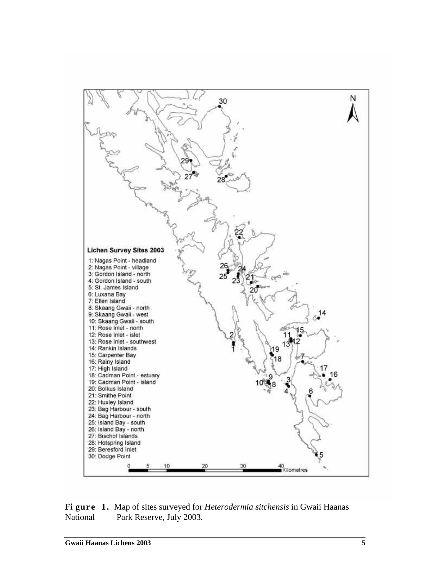

**Fi gure 1.** Map of sites surveyed for *Heterodermia sitchensis* in Gwaii Haanas National Park Reserve, July 2003.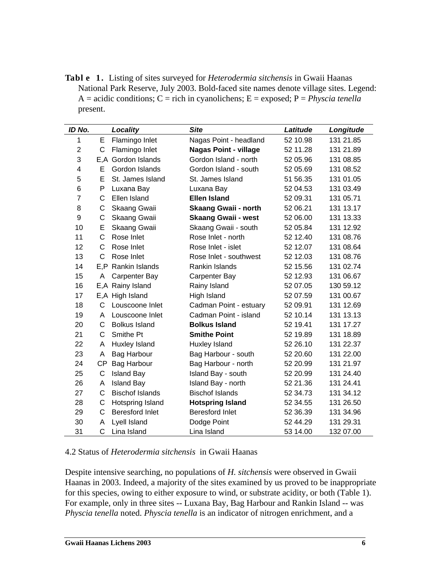**Tabl e 1.** Listing of sites surveyed for *Heterodermia sitchensis* in Gwaii Haanas National Park Reserve, July 2003. Bold-faced site names denote village sites. Legend: A = acidic conditions; C = rich in cyanolichens; E = exposed; P = *Physcia tenella*  present.

| ID No.         |           | Locality               | <b>Site</b>                  | Latitude | Longitude |
|----------------|-----------|------------------------|------------------------------|----------|-----------|
| 1              | Е         | Flamingo Inlet         | Nagas Point - headland       | 52 10.98 | 131 21.85 |
| $\overline{2}$ | C         | Flamingo Inlet         | <b>Nagas Point - village</b> | 52 11.28 | 131 21.89 |
| 3              |           | E,A Gordon Islands     | Gordon Island - north        | 52 05.96 | 131 08.85 |
| 4              | Е         | Gordon Islands         | Gordon Island - south        | 52 05.69 | 131 08.52 |
| 5              | Е         | St. James Island       | St. James Island             | 51 56.35 | 131 01.05 |
| 6              | P         | Luxana Bay             | Luxana Bay                   | 52 04.53 | 131 03.49 |
| $\overline{7}$ | C         | Ellen Island           | <b>Ellen Island</b>          | 52 09.31 | 131 05.71 |
| 8              | C         | Skaang Gwaii           | <b>Skaang Gwaii - north</b>  | 52 06.21 | 131 13.17 |
| 9              | С         | Skaang Gwaii           | <b>Skaang Gwaii - west</b>   | 52 06.00 | 131 13.33 |
| 10             | Е         | Skaang Gwaii           | Skaang Gwaii - south         | 52 05.84 | 131 12.92 |
| 11             | C         | Rose Inlet             | Rose Inlet - north           | 52 12.40 | 131 08.76 |
| 12             | C         | Rose Inlet             | Rose Inlet - islet           | 52 12.07 | 131 08.64 |
| 13             | C         | Rose Inlet             | Rose Inlet - southwest       | 52 12.03 | 131 08.76 |
| 14             |           | E,P Rankin Islands     | Rankin Islands               | 52 15.56 | 131 02.74 |
| 15             | A         | <b>Carpenter Bay</b>   | <b>Carpenter Bay</b>         | 52 12.93 | 131 06.67 |
| 16             |           | E,A Rainy Island       | Rainy Island                 | 52 07.05 | 130 59.12 |
| 17             |           | E, A High Island       | High Island                  | 52 07.59 | 131 00.67 |
| 18             | C         | Louscoone Inlet        | Cadman Point - estuary       | 52 09.91 | 131 12.69 |
| 19             | A         | Louscoone Inlet        | Cadman Point - island        | 52 10.14 | 131 13.13 |
| 20             | С         | <b>Bolkus Island</b>   | <b>Bolkus Island</b>         | 52 19.41 | 131 17.27 |
| 21             | С         | Smithe Pt              | <b>Smithe Point</b>          | 52 19.89 | 131 18.89 |
| 22             | A         | Huxley Island          | Huxley Island                | 52 26.10 | 131 22.37 |
| 23             | A         | <b>Bag Harbour</b>     | Bag Harbour - south          | 52 20.60 | 131 22.00 |
| 24             | <b>CP</b> | Bag Harbour            | Bag Harbour - north          | 52 20.99 | 131 21.97 |
| 25             | C         | <b>Island Bay</b>      | Island Bay - south           | 52 20.99 | 131 24.40 |
| 26             | A         | <b>Island Bay</b>      | Island Bay - north           | 52 21.36 | 131 24.41 |
| 27             | С         | <b>Bischof Islands</b> | <b>Bischof Islands</b>       | 52 34.73 | 131 34.12 |
| 28             | С         | Hotspring Island       | <b>Hotspring Island</b>      | 52 34.55 | 131 26.50 |
| 29             | C         | <b>Beresford Inlet</b> | <b>Beresford Inlet</b>       | 52 36.39 | 131 34.96 |
| 30             | A         | Lyell Island           | Dodge Point                  | 52 44.29 | 131 29.31 |
| 31             | C         | Lina Island            | Lina Island                  | 53 14.00 | 132 07.00 |

4.2 Status of *Heterodermia sitchensis* in Gwaii Haanas

Despite intensive searching, no populations of *H. sitchensis* were observed in Gwaii Haanas in 2003. Indeed, a majority of the sites examined by us proved to be inappropriate for this species, owing to either exposure to wind, or substrate acidity, or both (Table 1). For example, only in three sites -- Luxana Bay, Bag Harbour and Rankin Island -- was *Physcia tenella* noted. *Physcia tenella* is an indicator of nitrogen enrichment, and a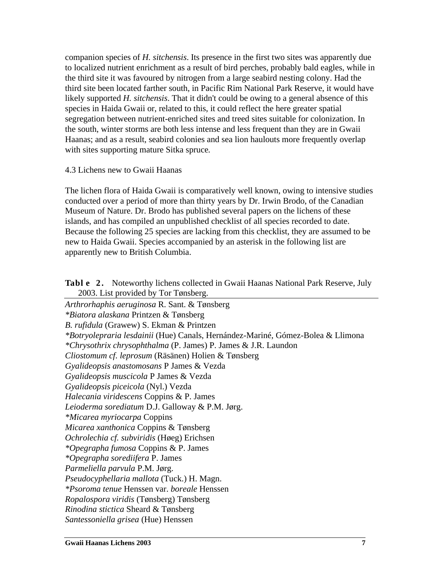companion species of *H. sitchensis*. Its presence in the first two sites was apparently due to localized nutrient enrichment as a result of bird perches, probably bald eagles, while in the third site it was favoured by nitrogen from a large seabird nesting colony. Had the third site been located farther south, in Pacific Rim National Park Reserve, it would have likely supported *H. sitchensis*. That it didn't could be owing to a general absence of this species in Haida Gwaii or, related to this, it could reflect the here greater spatial segregation between nutrient-enriched sites and treed sites suitable for colonization. In the south, winter storms are both less intense and less frequent than they are in Gwaii Haanas; and as a result, seabird colonies and sea lion haulouts more frequently overlap with sites supporting mature Sitka spruce*.*

#### 4.3 Lichens new to Gwaii Haanas

The lichen flora of Haida Gwaii is comparatively well known, owing to intensive studies conducted over a period of more than thirty years by Dr. Irwin Brodo, of the Canadian Museum of Nature. Dr. Brodo has published several papers on the lichens of these islands, and has compiled an unpublished checklist of all species recorded to date. Because the following 25 species are lacking from this checklist, they are assumed to be new to Haida Gwaii. Species accompanied by an asterisk in the following list are apparently new to British Columbia.

**Tabl e 2 .** Noteworthy lichens collected in Gwaii Haanas National Park Reserve, July

| <b>Table 2.</b> INDICWORDLY INTERNS CONCURRED IN OWART FRAMINIS INAUDIRED TAIN NESSERVE, JULY |
|-----------------------------------------------------------------------------------------------|
| 2003. List provided by Tor Tønsberg.                                                          |
| Arthrorhaphis aeruginosa R. Sant. & Tønsberg                                                  |
| *Biatora alaskana Printzen & Tønsberg                                                         |
| B. rufidula (Grawew) S. Ekman & Printzen                                                      |
| *Botryolepraria lesdainii (Hue) Canals, Hernández-Mariné, Gómez-Bolea & Llimona               |
| <i>*Chrysothrix chrysophthalma</i> (P. James) P. James & J.R. Laundon                         |
| Cliostomum cf. leprosum (Räsänen) Holien & Tønsberg                                           |
| Gyalideopsis anastomosans P James & Vezda                                                     |
| Gyalideopsis muscicola P James & Vezda                                                        |
| Gyalideopsis piceicola (Nyl.) Vezda                                                           |
| Halecania viridescens Coppins & P. James                                                      |
| Leioderma sorediatum D.J. Galloway & P.M. Jørg.                                               |
| <i>*Micarea myriocarpa</i> Coppins                                                            |
| Micarea xanthonica Coppins & Tønsberg                                                         |
| Ochrolechia cf. subviridis (Høeg) Erichsen                                                    |
| <i>*Opegrapha fumosa</i> Coppins & P. James                                                   |
| <i>*Opegrapha sorediifera P. James</i>                                                        |
| Parmeliella parvula P.M. Jørg.                                                                |
| Pseudocyphellaria mallota (Tuck.) H. Magn.                                                    |
| <i>*Psoroma tenue</i> Henssen var. boreale Henssen                                            |
| <i>Ropalospora viridis</i> (Tønsberg) Tønsberg                                                |
| Rinodina stictica Sheard & Tønsberg                                                           |
| Santessoniella grisea (Hue) Henssen                                                           |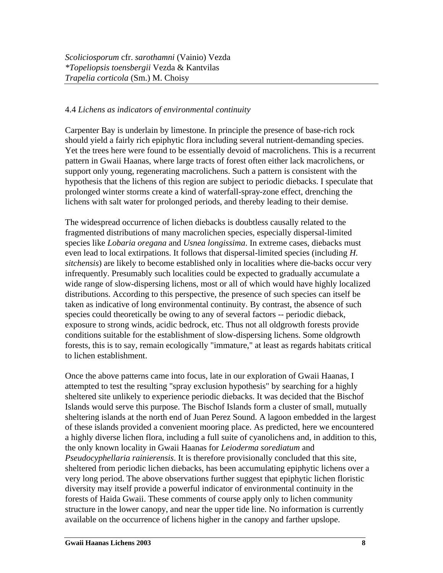### 4.4 *Lichens as indicators of environmental continuity*

Carpenter Bay is underlain by limestone. In principle the presence of base-rich rock should yield a fairly rich epiphytic flora including several nutrient-demanding species. Yet the trees here were found to be essentially devoid of macrolichens. This is a recurrent pattern in Gwaii Haanas, where large tracts of forest often either lack macrolichens, or support only young, regenerating macrolichens. Such a pattern is consistent with the hypothesis that the lichens of this region are subject to periodic diebacks. I speculate that prolonged winter storms create a kind of waterfall-spray-zone effect, drenching the lichens with salt water for prolonged periods, and thereby leading to their demise.

The widespread occurrence of lichen diebacks is doubtless causally related to the fragmented distributions of many macrolichen species, especially dispersal-limited species like *Lobaria oregana* and *Usnea longissima*. In extreme cases, diebacks must even lead to local extirpations. It follows that dispersal-limited species (including *H. sitchensis*) are likely to become established only in localities where die-backs occur very infrequently. Presumably such localities could be expected to gradually accumulate a wide range of slow-dispersing lichens, most or all of which would have highly localized distributions. According to this perspective, the presence of such species can itself be taken as indicative of long environmental continuity. By contrast, the absence of such species could theoretically be owing to any of several factors -- periodic dieback, exposure to strong winds, acidic bedrock, etc. Thus not all oldgrowth forests provide conditions suitable for the establishment of slow-dispersing lichens. Some oldgrowth forests, this is to say, remain ecologically "immature," at least as regards habitats critical to lichen establishment.

Once the above patterns came into focus, late in our exploration of Gwaii Haanas, I attempted to test the resulting "spray exclusion hypothesis" by searching for a highly sheltered site unlikely to experience periodic diebacks. It was decided that the Bischof Islands would serve this purpose. The Bischof Islands form a cluster of small, mutually sheltering islands at the north end of Juan Perez Sound. A lagoon embedded in the largest of these islands provided a convenient mooring place. As predicted, here we encountered a highly diverse lichen flora, including a full suite of cyanolichens and, in addition to this, the only known locality in Gwaii Haanas for *Leioderma sorediatum* and *Pseudocyphellaria rainierensis*. It is therefore provisionally concluded that this site, sheltered from periodic lichen diebacks, has been accumulating epiphytic lichens over a very long period. The above observations further suggest that epiphytic lichen floristic diversity may itself provide a powerful indicator of environmental continuity in the forests of Haida Gwaii. These comments of course apply only to lichen community structure in the lower canopy, and near the upper tide line. No information is currently available on the occurrence of lichens higher in the canopy and farther upslope.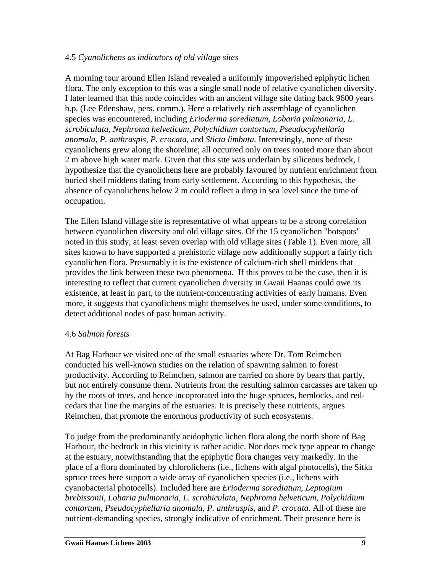### 4.5 *Cyanolichens as indicators of old village sites*

A morning tour around Ellen Island revealed a uniformly impoverished epiphytic lichen flora. The only exception to this was a single small node of relative cyanolichen diversity. I later learned that this node coincides with an ancient village site dating back 9600 years b.p. (Lee Edenshaw, pers. comm.). Here a relatively rich assemblage of cyanolichen species was encountered, including *Erioderma sorediatum, Lobaria pulmonaria, L. scrobiculata, Nephroma helveticum, Polychidium contortum, Pseudocyphellaria anomala, P. anthraspis, P. crocata,* and *Sticta limbata.* Interestingly, none of these cyanolichens grew along the shoreline; all occurred only on trees rooted more than about 2 m above high water mark. Given that this site was underlain by siliceous bedrock, I hypothesize that the cyanolichens here are probably favoured by nutrient enrichment from buried shell middens dating from early settlement. According to this hypothesis, the absence of cyanolichens below 2 m could reflect a drop in sea level since the time of occupation.

The Ellen Island village site is representative of what appears to be a strong correlation between cyanolichen diversity and old village sites. Of the 15 cyanolichen "hotspots" noted in this study, at least seven overlap with old village sites (Table 1). Even more, all sites known to have supported a prehistoric village now additionally support a fairly rich cyanolichen flora. Presumably it is the existence of calcium-rich shell middens that provides the link between these two phenomena. If this proves to be the case, then it is interesting to reflect that current cyanolichen diversity in Gwaii Haanas could owe its existence, at least in part, to the nutrient-concentrating activities of early humans. Even more, it suggests that cyanolichens might themselves be used, under some conditions, to detect additional nodes of past human activity.

#### 4.6 *Salmon forests*

At Bag Harbour we visited one of the small estuaries where Dr. Tom Reimchen conducted his well-known studies on the relation of spawning salmon to forest productivity. According to Reimchen, salmon are carried on shore by bears that partly, but not entirely consume them. Nutrients from the resulting salmon carcasses are taken up by the roots of trees, and hence incoprorated into the huge spruces, hemlocks, and redcedars that line the margins of the estuaries. It is precisely these nutrients, argues Reimchen, that promote the enormous productivity of such ecosystems.

To judge from the predominantly acidophytic lichen flora along the north shore of Bag Harbour, the bedrock in this vicinity is rather acidic. Nor does rock type appear to change at the estuary, notwithstanding that the epiphytic flora changes very markedly. In the place of a flora dominated by chlorolichens (i.e., lichens with algal photocells), the Sitka spruce trees here support a wide array of cyanolichen species (i.e., lichens with cyanobacterial photocells). Included here are *Erioderma sorediatum, Leptogium brebissonii, Lobaria pulmonaria, L. scrobiculata, Nephroma helveticum, Polychidium contortum, Pseudocyphellaria anomala, P. anthraspis,* and *P. crocata*. All of these are nutrient-demanding species, strongly indicative of enrichment. Their presence here is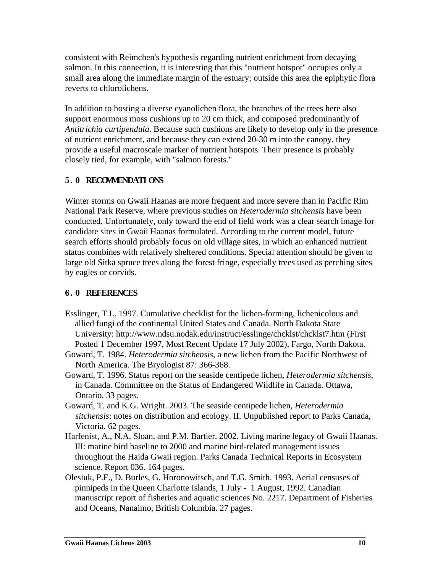consistent with Reimchen's hypothesis regarding nutrient enrichment from decaying salmon. In this connection, it is interesting that this "nutrient hotspot" occupies only a small area along the immediate margin of the estuary; outside this area the epiphytic flora reverts to chlorolichens.

In addition to hosting a diverse cyanolichen flora, the branches of the trees here also support enormous moss cushions up to 20 cm thick, and composed predominantly of *Antitrichia curtipendula*. Because such cushions are likely to develop only in the presence of nutrient enrichment, and because they can extend 20-30 m into the canopy, they provide a useful macroscale marker of nutrient hotspots. Their presence is probably closely tied, for example, with "salmon forests."

### **5. 0 RECOMMENDATI ONS**

Winter storms on Gwaii Haanas are more frequent and more severe than in Pacific Rim National Park Reserve, where previous studies on *Heterodermia sitchensis* have been conducted. Unfortunately, only toward the end of field work was a clear search image for candidate sites in Gwaii Haanas formulated. According to the current model, future search efforts should probably focus on old village sites, in which an enhanced nutrient status combines with relatively sheltered conditions. Special attention should be given to large old Sitka spruce trees along the forest fringe, especially trees used as perching sites by eagles or corvids.

#### **6. 0 REFERENCES**

- Esslinger, T.L. 1997. Cumulative checklist for the lichen-forming, lichenicolous and allied fungi of the continental United States and Canada. North Dakota State University: http://www.ndsu.nodak.edu/instruct/esslinge/chcklst/chcklst7.htm (First Posted 1 December 1997, Most Recent Update 17 July 2002), Fargo, North Dakota.
- Goward, T. 1984. *Heterodermia sitchensis*, a new lichen from the Pacific Northwest of North America. The Bryologist 87: 366-368.
- Goward, T. 1996. Status report on the seaside centipede lichen, *Heterodermia sitchensis*, in Canada. Committee on the Status of Endangered Wildlife in Canada. Ottawa, Ontario. 33 pages.
- Goward, T. and K.G. Wright. 2003. The seaside centipede lichen, *Heterodermia sitchensis*: notes on distribution and ecology. II. Unpublished report to Parks Canada, Victoria. 62 pages.
- Harfenist, A., N.A. Sloan, and P.M. Bartier. 2002. Living marine legacy of Gwaii Haanas. III: marine bird baseline to 2000 and marine bird-related management issues throughout the Haida Gwaii region. Parks Canada Technical Reports in Ecosystem science. Report 036. 164 pages.
- Olesiuk, P.F., D. Burles, G. Horonowitsch, and T.G. Smith. 1993. Aerial censuses of pinnipeds in the Queen Charlotte Islands, 1 July - 1 August, 1992. Canadian manuscript report of fisheries and aquatic sciences No. 2217. Department of Fisheries and Oceans, Nanaimo, British Columbia. 27 pages.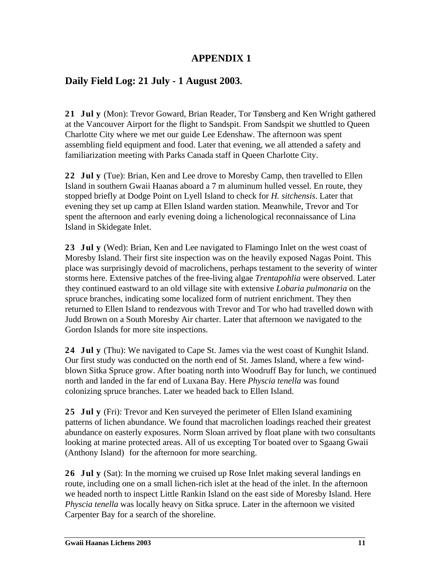# **APPENDIX 1**

# **Daily Field Log: 21 July - 1 August 2003.**

**21 Jul y** (Mon): Trevor Goward, Brian Reader, Tor Tønsberg and Ken Wright gathered at the Vancouver Airport for the flight to Sandspit. From Sandspit we shuttled to Queen Charlotte City where we met our guide Lee Edenshaw. The afternoon was spent assembling field equipment and food. Later that evening, we all attended a safety and familiarization meeting with Parks Canada staff in Queen Charlotte City.

**22 Jul y** (Tue): Brian, Ken and Lee drove to Moresby Camp, then travelled to Ellen Island in southern Gwaii Haanas aboard a 7 m aluminum hulled vessel. En route, they stopped briefly at Dodge Point on Lyell Island to check for *H. sitchensis*. Later that evening they set up camp at Ellen Island warden station. Meanwhile, Trevor and Tor spent the afternoon and early evening doing a lichenological reconnaissance of Lina Island in Skidegate Inlet.

**23 Jul y** (Wed): Brian, Ken and Lee navigated to Flamingo Inlet on the west coast of Moresby Island. Their first site inspection was on the heavily exposed Nagas Point. This place was surprisingly devoid of macrolichens, perhaps testament to the severity of winter storms here. Extensive patches of the free-living algae *Trentapohlia* were observed. Later they continued eastward to an old village site with extensive *Lobaria pulmonaria* on the spruce branches, indicating some localized form of nutrient enrichment. They then returned to Ellen Island to rendezvous with Trevor and Tor who had travelled down with Judd Brown on a South Moresby Air charter. Later that afternoon we navigated to the Gordon Islands for more site inspections.

**24 Jul y** (Thu): We navigated to Cape St. James via the west coast of Kunghit Island. Our first study was conducted on the north end of St. James Island, where a few windblown Sitka Spruce grow. After boating north into Woodruff Bay for lunch, we continued north and landed in the far end of Luxana Bay. Here *Physcia tenella* was found colonizing spruce branches. Later we headed back to Ellen Island.

**25 Jul y** (Fri): Trevor and Ken surveyed the perimeter of Ellen Island examining patterns of lichen abundance. We found that macrolichen loadings reached their greatest abundance on easterly exposures. Norm Sloan arrived by float plane with two consultants looking at marine protected areas. All of us excepting Tor boated over to Sgaang Gwaii (Anthony Island) for the afternoon for more searching.

**26 Jul y** (Sat): In the morning we cruised up Rose Inlet making several landings en route, including one on a small lichen-rich islet at the head of the inlet. In the afternoon we headed north to inspect Little Rankin Island on the east side of Moresby Island. Here *Physcia tenella* was locally heavy on Sitka spruce. Later in the afternoon we visited Carpenter Bay for a search of the shoreline.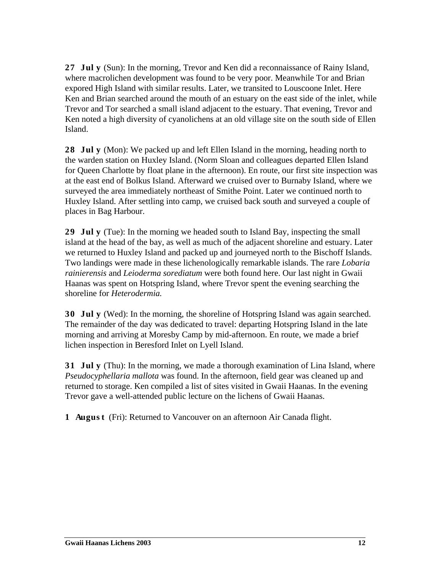**27 Jul y** (Sun): In the morning, Trevor and Ken did a reconnaissance of Rainy Island, where macrolichen development was found to be very poor. Meanwhile Tor and Brian expored High Island with similar results. Later, we transited to Louscoone Inlet. Here Ken and Brian searched around the mouth of an estuary on the east side of the inlet, while Trevor and Tor searched a small island adjacent to the estuary. That evening, Trevor and Ken noted a high diversity of cyanolichens at an old village site on the south side of Ellen Island.

**28 Jul y** (Mon): We packed up and left Ellen Island in the morning, heading north to the warden station on Huxley Island. (Norm Sloan and colleagues departed Ellen Island for Queen Charlotte by float plane in the afternoon). En route, our first site inspection was at the east end of Bolkus Island. Afterward we cruised over to Burnaby Island, where we surveyed the area immediately northeast of Smithe Point. Later we continued north to Huxley Island. After settling into camp, we cruised back south and surveyed a couple of places in Bag Harbour.

**29 Jul y** (Tue): In the morning we headed south to Island Bay, inspecting the small island at the head of the bay, as well as much of the adjacent shoreline and estuary. Later we returned to Huxley Island and packed up and journeyed north to the Bischoff Islands. Two landings were made in these lichenologically remarkable islands. The rare *Lobaria rainierensis* and *Leioderma sorediatum* were both found here. Our last night in Gwaii Haanas was spent on Hotspring Island, where Trevor spent the evening searching the shoreline for *Heterodermia.*

**30 Jul y** (Wed): In the morning, the shoreline of Hotspring Island was again searched. The remainder of the day was dedicated to travel: departing Hotspring Island in the late morning and arriving at Moresby Camp by mid-afternoon. En route, we made a brief lichen inspection in Beresford Inlet on Lyell Island.

**31 Jul y** (Thu): In the morning, we made a thorough examination of Lina Island, where *Pseudocyphellaria mallota* was found. In the afternoon, field gear was cleaned up and returned to storage. Ken compiled a list of sites visited in Gwaii Haanas. In the evening Trevor gave a well-attended public lecture on the lichens of Gwaii Haanas.

**1 Augus t** (Fri): Returned to Vancouver on an afternoon Air Canada flight.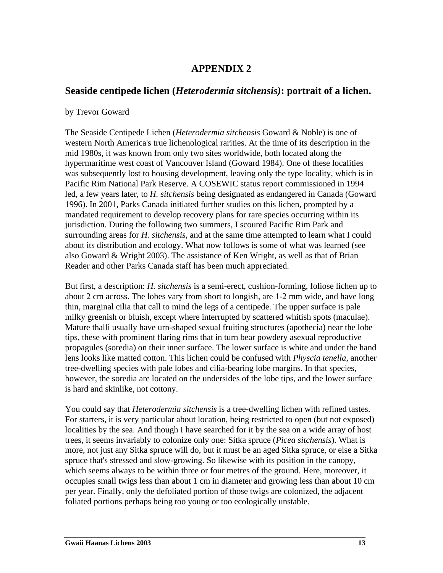# **APPENDIX 2**

## **Seaside centipede lichen (***Heterodermia sitchensis)***: portrait of a lichen.**

#### by Trevor Goward

The Seaside Centipede Lichen (*Heterodermia sitchensis* Goward & Noble) is one of western North America's true lichenological rarities. At the time of its description in the mid 1980s, it was known from only two sites worldwide, both located along the hypermaritime west coast of Vancouver Island (Goward 1984). One of these localities was subsequently lost to housing development, leaving only the type locality, which is in Pacific Rim National Park Reserve. A COSEWIC status report commissioned in 1994 led, a few years later, to *H. sitchensis* being designated as endangered in Canada (Goward 1996). In 2001, Parks Canada initiated further studies on this lichen, prompted by a mandated requirement to develop recovery plans for rare species occurring within its jurisdiction. During the following two summers, I scoured Pacific Rim Park and surrounding areas for *H. sitchensis*, and at the same time attempted to learn what I could about its distribution and ecology. What now follows is some of what was learned (see also Goward & Wright 2003). The assistance of Ken Wright, as well as that of Brian Reader and other Parks Canada staff has been much appreciated.

But first, a description: *H. sitchensis* is a semi-erect, cushion-forming, foliose lichen up to about 2 cm across. The lobes vary from short to longish, are 1-2 mm wide, and have long thin, marginal cilia that call to mind the legs of a centipede. The upper surface is pale milky greenish or bluish, except where interrupted by scattered whitish spots (maculae). Mature thalli usually have urn-shaped sexual fruiting structures (apothecia) near the lobe tips, these with prominent flaring rims that in turn bear powdery asexual reproductive propagules (soredia) on their inner surface. The lower surface is white and under the hand lens looks like matted cotton. This lichen could be confused with *Physcia tenella*, another tree-dwelling species with pale lobes and cilia-bearing lobe margins. In that species, however, the soredia are located on the undersides of the lobe tips, and the lower surface is hard and skinlike, not cottony.

You could say that *Heterodermia sitchensis* is a tree-dwelling lichen with refined tastes. For starters, it is very particular about location, being restricted to open (but not exposed) localities by the sea. And though I have searched for it by the sea on a wide array of host trees, it seems invariably to colonize only one: Sitka spruce (*Picea sitchensis*). What is more, not just any Sitka spruce will do, but it must be an aged Sitka spruce, or else a Sitka spruce that's stressed and slow-growing. So likewise with its position in the canopy, which seems always to be within three or four metres of the ground. Here, moreover, it occupies small twigs less than about 1 cm in diameter and growing less than about 10 cm per year. Finally, only the defoliated portion of those twigs are colonized, the adjacent foliated portions perhaps being too young or too ecologically unstable.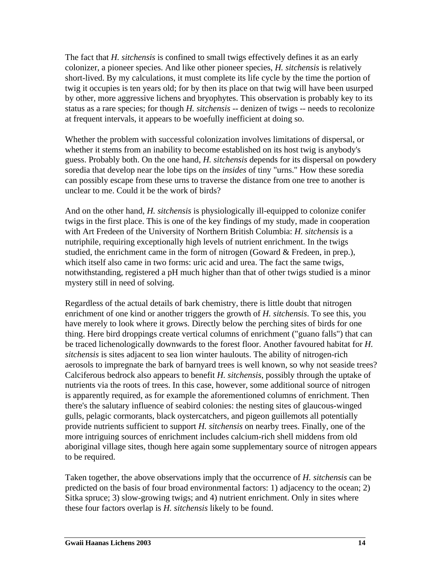The fact that *H. sitchensis* is confined to small twigs effectively defines it as an early colonizer, a pioneer species. And like other pioneer species, *H. sitchensis* is relatively short-lived. By my calculations, it must complete its life cycle by the time the portion of twig it occupies is ten years old; for by then its place on that twig will have been usurped by other, more aggressive lichens and bryophytes. This observation is probably key to its status as a rare species; for though *H. sitchensis* -- denizen of twigs -- needs to recolonize at frequent intervals, it appears to be woefully inefficient at doing so.

Whether the problem with successful colonization involves limitations of dispersal, or whether it stems from an inability to become established on its host twig is anybody's guess. Probably both. On the one hand, *H. sitchensis* depends for its dispersal on powdery soredia that develop near the lobe tips on the *insides* of tiny "urns." How these soredia can possibly escape from these urns to traverse the distance from one tree to another is unclear to me. Could it be the work of birds?

And on the other hand, *H. sitchensis* is physiologically ill-equipped to colonize conifer twigs in the first place. This is one of the key findings of my study, made in cooperation with Art Fredeen of the University of Northern British Columbia: *H. sitchensis* is a nutriphile, requiring exceptionally high levels of nutrient enrichment. In the twigs studied, the enrichment came in the form of nitrogen (Goward & Fredeen, in prep.), which itself also came in two forms: uric acid and urea. The fact the same twigs, notwithstanding, registered a pH much higher than that of other twigs studied is a minor mystery still in need of solving.

Regardless of the actual details of bark chemistry, there is little doubt that nitrogen enrichment of one kind or another triggers the growth of *H. sitchensis*. To see this, you have merely to look where it grows. Directly below the perching sites of birds for one thing. Here bird droppings create vertical columns of enrichment ("guano falls") that can be traced lichenologically downwards to the forest floor. Another favoured habitat for *H. sitchensis* is sites adjacent to sea lion winter haulouts. The ability of nitrogen-rich aerosols to impregnate the bark of barnyard trees is well known, so why not seaside trees? Calciferous bedrock also appears to benefit *H. sitchensis*, possibly through the uptake of nutrients via the roots of trees. In this case, however, some additional source of nitrogen is apparently required, as for example the aforementioned columns of enrichment. Then there's the salutary influence of seabird colonies: the nesting sites of glaucous-winged gulls, pelagic cormorants, black oystercatchers, and pigeon guillemots all potentially provide nutrients sufficient to support *H. sitchensis* on nearby trees. Finally, one of the more intriguing sources of enrichment includes calcium-rich shell middens from old aboriginal village sites, though here again some supplementary source of nitrogen appears to be required.

Taken together, the above observations imply that the occurrence of *H. sitchensis* can be predicted on the basis of four broad environmental factors: 1) adjacency to the ocean; 2) Sitka spruce; 3) slow-growing twigs; and 4) nutrient enrichment. Only in sites where these four factors overlap is *H. sitchensis* likely to be found.